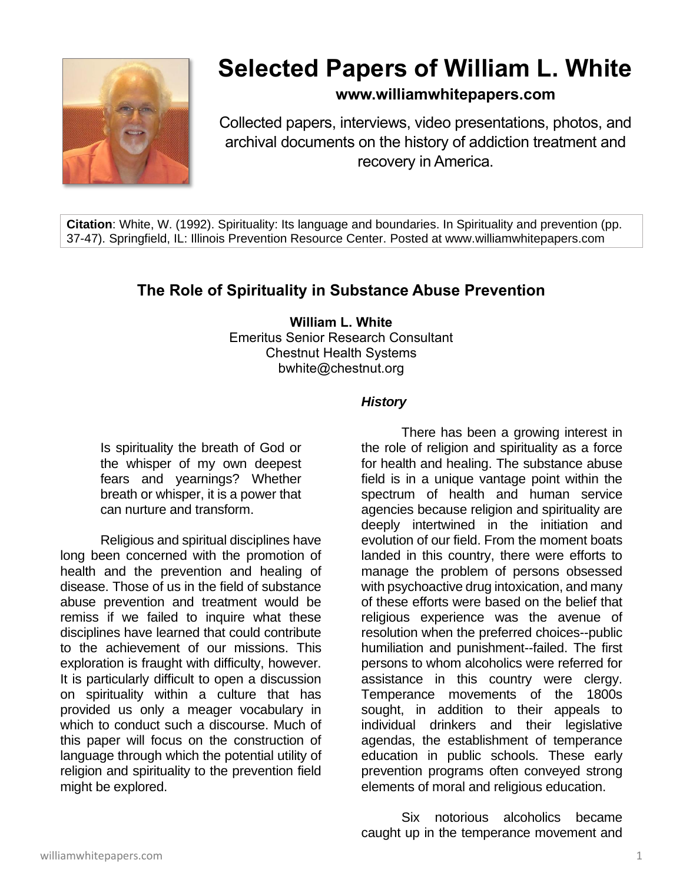

# **Selected Papers of William L. White**

# **www.williamwhitepapers.com**

Collected papers, interviews, video presentations, photos, and archival documents on the history of addiction treatment and recovery in America.

**Citation**: White, W. (1992). Spirituality: Its language and boundaries. In Spirituality and prevention (pp. 37-47). Springfield, IL: Illinois Prevention Resource Center. Posted at www.williamwhitepapers.com

# **The Role of Spirituality in Substance Abuse Prevention**

**William L. White** Emeritus Senior Research Consultant Chestnut Health Systems bwhite@chestnut.org

#### *History*

Is spirituality the breath of God or the whisper of my own deepest fears and yearnings? Whether breath or whisper, it is a power that can nurture and transform.

Religious and spiritual disciplines have long been concerned with the promotion of health and the prevention and healing of disease. Those of us in the field of substance abuse prevention and treatment would be remiss if we failed to inquire what these disciplines have learned that could contribute to the achievement of our missions. This exploration is fraught with difficulty, however. It is particularly difficult to open a discussion on spirituality within a culture that has provided us only a meager vocabulary in which to conduct such a discourse. Much of this paper will focus on the construction of language through which the potential utility of religion and spirituality to the prevention field might be explored.

There has been a growing interest in the role of religion and spirituality as a force for health and healing. The substance abuse field is in a unique vantage point within the spectrum of health and human service agencies because religion and spirituality are deeply intertwined in the initiation and evolution of our field. From the moment boats landed in this country, there were efforts to manage the problem of persons obsessed with psychoactive drug intoxication, and many of these efforts were based on the belief that religious experience was the avenue of resolution when the preferred choices--public humiliation and punishment--failed. The first persons to whom alcoholics were referred for assistance in this country were clergy. Temperance movements of the 1800s sought, in addition to their appeals to individual drinkers and their legislative agendas, the establishment of temperance education in public schools. These early prevention programs often conveyed strong elements of moral and religious education.

Six notorious alcoholics became caught up in the temperance movement and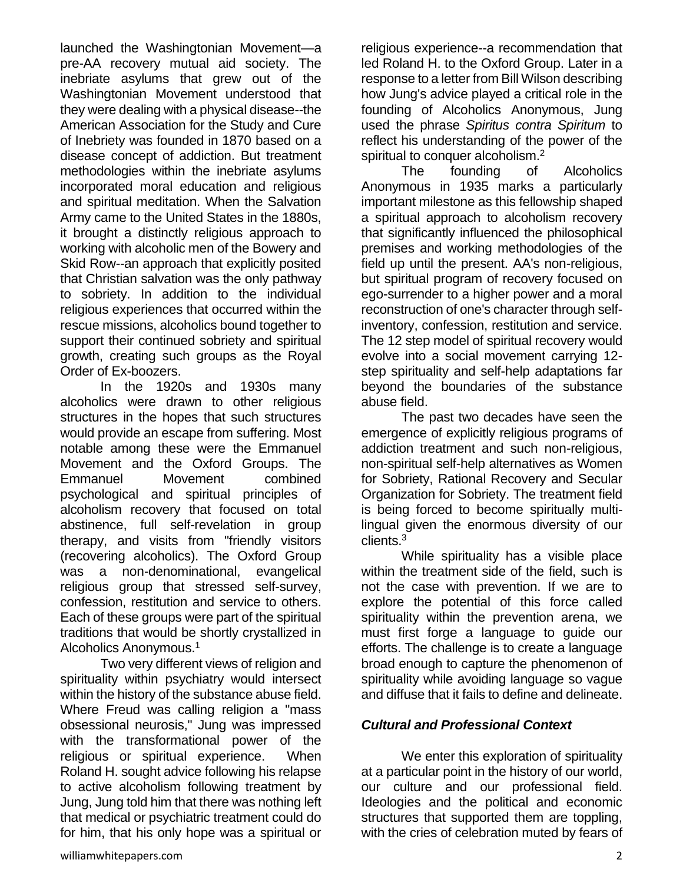launched the Washingtonian Movement—a pre-AA recovery mutual aid society. The inebriate asylums that grew out of the Washingtonian Movement understood that they were dealing with a physical disease--the American Association for the Study and Cure of Inebriety was founded in 1870 based on a disease concept of addiction. But treatment methodologies within the inebriate asylums incorporated moral education and religious and spiritual meditation. When the Salvation Army came to the United States in the 1880s, it brought a distinctly religious approach to working with alcoholic men of the Bowery and Skid Row--an approach that explicitly posited that Christian salvation was the only pathway to sobriety. In addition to the individual religious experiences that occurred within the rescue missions, alcoholics bound together to support their continued sobriety and spiritual growth, creating such groups as the Royal Order of Ex-boozers.

In the 1920s and 1930s many alcoholics were drawn to other religious structures in the hopes that such structures would provide an escape from suffering. Most notable among these were the Emmanuel Movement and the Oxford Groups. The Emmanuel Movement combined psychological and spiritual principles of alcoholism recovery that focused on total abstinence, full self-revelation in group therapy, and visits from "friendly visitors (recovering alcoholics). The Oxford Group was a non-denominational, evangelical religious group that stressed self-survey, confession, restitution and service to others. Each of these groups were part of the spiritual traditions that would be shortly crystallized in Alcoholics Anonymous.<sup>1</sup>

Two very different views of religion and spirituality within psychiatry would intersect within the history of the substance abuse field. Where Freud was calling religion a "mass obsessional neurosis," Jung was impressed with the transformational power of the religious or spiritual experience. When Roland H. sought advice following his relapse to active alcoholism following treatment by Jung, Jung told him that there was nothing left that medical or psychiatric treatment could do for him, that his only hope was a spiritual or

religious experience--a recommendation that led Roland H. to the Oxford Group. Later in a response to a letter from Bill Wilson describing how Jung's advice played a critical role in the founding of Alcoholics Anonymous, Jung used the phrase *Spiritus contra Spiritum* to reflect his understanding of the power of the spiritual to conquer alcoholism.<sup>2</sup>

The founding of Alcoholics Anonymous in 1935 marks a particularly important milestone as this fellowship shaped a spiritual approach to alcoholism recovery that significantly influenced the philosophical premises and working methodologies of the field up until the present. AA's non-religious, but spiritual program of recovery focused on ego-surrender to a higher power and a moral reconstruction of one's character through selfinventory, confession, restitution and service. The 12 step model of spiritual recovery would evolve into a social movement carrying 12 step spirituality and self-help adaptations far beyond the boundaries of the substance abuse field.

The past two decades have seen the emergence of explicitly religious programs of addiction treatment and such non-religious, non-spiritual self-help alternatives as Women for Sobriety, Rational Recovery and Secular Organization for Sobriety. The treatment field is being forced to become spiritually multilingual given the enormous diversity of our clients.<sup>3</sup>

While spirituality has a visible place within the treatment side of the field, such is not the case with prevention. If we are to explore the potential of this force called spirituality within the prevention arena, we must first forge a language to guide our efforts. The challenge is to create a language broad enough to capture the phenomenon of spirituality while avoiding language so vague and diffuse that it fails to define and delineate.

# *Cultural and Professional Context*

We enter this exploration of spirituality at a particular point in the history of our world, our culture and our professional field. Ideologies and the political and economic structures that supported them are toppling, with the cries of celebration muted by fears of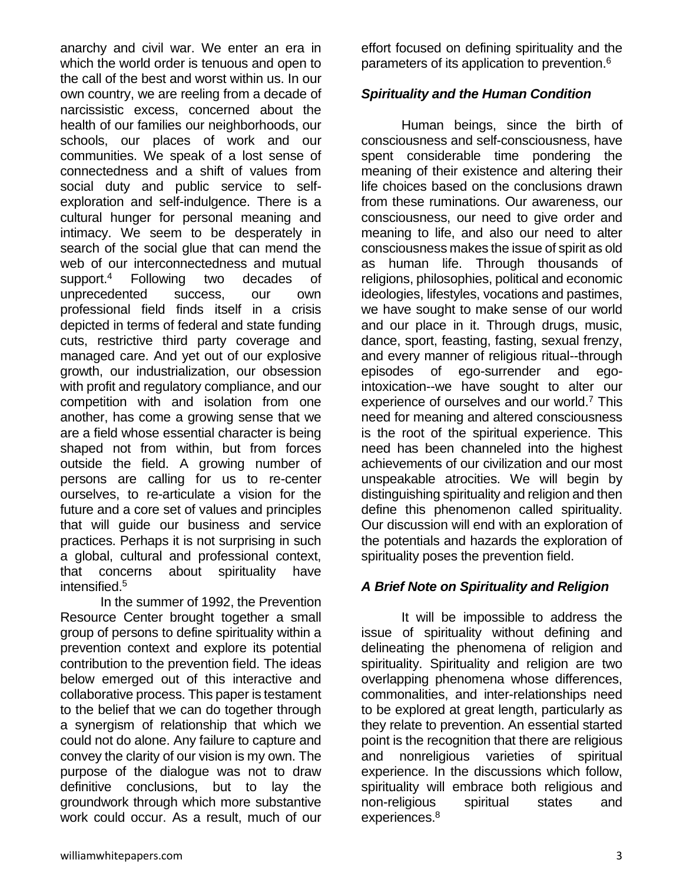anarchy and civil war. We enter an era in which the world order is tenuous and open to the call of the best and worst within us. In our own country, we are reeling from a decade of narcissistic excess, concerned about the health of our families our neighborhoods, our schools, our places of work and our communities. We speak of a lost sense of connectedness and a shift of values from social duty and public service to selfexploration and self-indulgence. There is a cultural hunger for personal meaning and intimacy. We seem to be desperately in search of the social glue that can mend the web of our interconnectedness and mutual support.<sup>4</sup> Following two decades of unprecedented success, our own professional field finds itself in a crisis depicted in terms of federal and state funding cuts, restrictive third party coverage and managed care. And yet out of our explosive growth, our industrialization, our obsession with profit and regulatory compliance, and our competition with and isolation from one another, has come a growing sense that we are a field whose essential character is being shaped not from within, but from forces outside the field. A growing number of persons are calling for us to re-center ourselves, to re-articulate a vision for the future and a core set of values and principles that will guide our business and service practices. Perhaps it is not surprising in such a global, cultural and professional context, that concerns about spirituality have intensified.<sup>5</sup>

In the summer of 1992, the Prevention Resource Center brought together a small group of persons to define spirituality within a prevention context and explore its potential contribution to the prevention field. The ideas below emerged out of this interactive and collaborative process. This paper is testament to the belief that we can do together through a synergism of relationship that which we could not do alone. Any failure to capture and convey the clarity of our vision is my own. The purpose of the dialogue was not to draw definitive conclusions, but to lay the groundwork through which more substantive work could occur. As a result, much of our

effort focused on defining spirituality and the parameters of its application to prevention.<sup>6</sup>

#### *Spirituality and the Human Condition*

Human beings, since the birth of consciousness and self-consciousness, have spent considerable time pondering the meaning of their existence and altering their life choices based on the conclusions drawn from these ruminations. Our awareness, our consciousness, our need to give order and meaning to life, and also our need to alter consciousness makes the issue of spirit as old as human life. Through thousands of religions, philosophies, political and economic ideologies, lifestyles, vocations and pastimes, we have sought to make sense of our world and our place in it. Through drugs, music, dance, sport, feasting, fasting, sexual frenzy, and every manner of religious ritual--through episodes of ego-surrender and egointoxication--we have sought to alter our experience of ourselves and our world.<sup>7</sup> This need for meaning and altered consciousness is the root of the spiritual experience. This need has been channeled into the highest achievements of our civilization and our most unspeakable atrocities. We will begin by distinguishing spirituality and religion and then define this phenomenon called spirituality. Our discussion will end with an exploration of the potentials and hazards the exploration of spirituality poses the prevention field.

# *A Brief Note on Spirituality and Religion*

It will be impossible to address the issue of spirituality without defining and delineating the phenomena of religion and spirituality. Spirituality and religion are two overlapping phenomena whose differences, commonalities, and inter-relationships need to be explored at great length, particularly as they relate to prevention. An essential started point is the recognition that there are religious and nonreligious varieties of spiritual experience. In the discussions which follow, spirituality will embrace both religious and non-religious spiritual states and experiences.<sup>8</sup>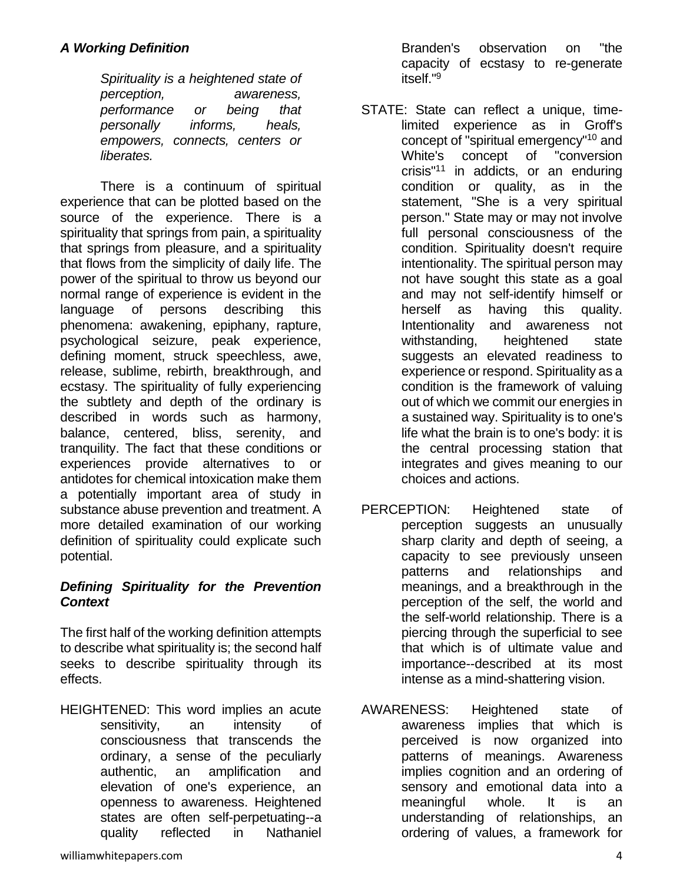*Spirituality is a heightened state of perception, awareness, performance or being that personally informs, heals, empowers, connects, centers or liberates.*

There is a continuum of spiritual experience that can be plotted based on the source of the experience. There is a spirituality that springs from pain, a spirituality that springs from pleasure, and a spirituality that flows from the simplicity of daily life. The power of the spiritual to throw us beyond our normal range of experience is evident in the language of persons describing this phenomena: awakening, epiphany, rapture, psychological seizure, peak experience, defining moment, struck speechless, awe, release, sublime, rebirth, breakthrough, and ecstasy. The spirituality of fully experiencing the subtlety and depth of the ordinary is described in words such as harmony, balance, centered, bliss, serenity, and tranquility. The fact that these conditions or experiences provide alternatives to or antidotes for chemical intoxication make them a potentially important area of study in substance abuse prevention and treatment. A more detailed examination of our working definition of spirituality could explicate such potential.

#### *Defining Spirituality for the Prevention Context*

The first half of the working definition attempts to describe what spirituality is; the second half seeks to describe spirituality through its effects.

HEIGHTENED: This word implies an acute sensitivity, an intensity of consciousness that transcends the ordinary, a sense of the peculiarly authentic, an amplification and elevation of one's experience, an openness to awareness. Heightened states are often self-perpetuating--a quality reflected in Nathaniel

Branden's observation on "the capacity of ecstasy to re-generate itself."<sup>9</sup>

- STATE: State can reflect a unique, timelimited experience as in Groff's concept of "spiritual emergency"<sup>10</sup> and White's concept of "conversion crisis"<sup>11</sup> in addicts, or an enduring condition or quality, as in the statement, "She is a very spiritual person." State may or may not involve full personal consciousness of the condition. Spirituality doesn't require intentionality. The spiritual person may not have sought this state as a goal and may not self-identify himself or herself as having this quality. Intentionality and awareness not withstanding, heightened state suggests an elevated readiness to experience or respond. Spirituality as a condition is the framework of valuing out of which we commit our energies in a sustained way. Spirituality is to one's life what the brain is to one's body: it is the central processing station that integrates and gives meaning to our choices and actions.
- PERCEPTION: Heightened state of perception suggests an unusually sharp clarity and depth of seeing, a capacity to see previously unseen patterns and relationships and meanings, and a breakthrough in the perception of the self, the world and the self-world relationship. There is a piercing through the superficial to see that which is of ultimate value and importance--described at its most intense as a mind-shattering vision.
- AWARENESS: Heightened state of awareness implies that which is perceived is now organized into patterns of meanings. Awareness implies cognition and an ordering of sensory and emotional data into a meaningful whole. It is an understanding of relationships, an ordering of values, a framework for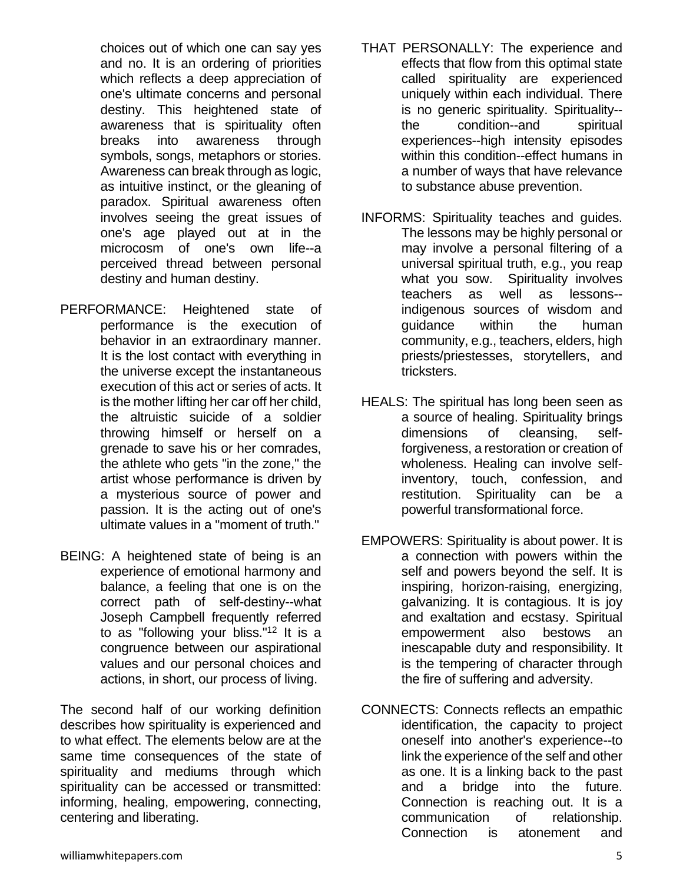choices out of which one can say yes and no. It is an ordering of priorities which reflects a deep appreciation of one's ultimate concerns and personal destiny. This heightened state of awareness that is spirituality often breaks into awareness through symbols, songs, metaphors or stories. Awareness can break through as logic, as intuitive instinct, or the gleaning of paradox. Spiritual awareness often involves seeing the great issues of one's age played out at in the microcosm of one's own life--a perceived thread between personal destiny and human destiny.

- PERFORMANCE: Heightened state of performance is the execution of behavior in an extraordinary manner. It is the lost contact with everything in the universe except the instantaneous execution of this act or series of acts. It is the mother lifting her car off her child, the altruistic suicide of a soldier throwing himself or herself on a grenade to save his or her comrades, the athlete who gets "in the zone," the artist whose performance is driven by a mysterious source of power and passion. It is the acting out of one's ultimate values in a "moment of truth."
- BEING: A heightened state of being is an experience of emotional harmony and balance, a feeling that one is on the correct path of self-destiny--what Joseph Campbell frequently referred to as "following your bliss."<sup>12</sup> It is a congruence between our aspirational values and our personal choices and actions, in short, our process of living.

The second half of our working definition describes how spirituality is experienced and to what effect. The elements below are at the same time consequences of the state of spirituality and mediums through which spirituality can be accessed or transmitted: informing, healing, empowering, connecting, centering and liberating.

- THAT PERSONALLY: The experience and effects that flow from this optimal state called spirituality are experienced uniquely within each individual. There is no generic spirituality. Spirituality- the condition--and spiritual experiences--high intensity episodes within this condition--effect humans in a number of ways that have relevance to substance abuse prevention.
- INFORMS: Spirituality teaches and guides. The lessons may be highly personal or may involve a personal filtering of a universal spiritual truth, e.g., you reap what you sow. Spirituality involves teachers as well as lessons- indigenous sources of wisdom and guidance within the human community, e.g., teachers, elders, high priests/priestesses, storytellers, and tricksters.
- HEALS: The spiritual has long been seen as a source of healing. Spirituality brings dimensions of cleansing, selfforgiveness, a restoration or creation of wholeness. Healing can involve selfinventory, touch, confession, and restitution. Spirituality can be a powerful transformational force.
- EMPOWERS: Spirituality is about power. It is a connection with powers within the self and powers beyond the self. It is inspiring, horizon-raising, energizing, galvanizing. It is contagious. It is joy and exaltation and ecstasy. Spiritual empowerment also bestows an inescapable duty and responsibility. It is the tempering of character through the fire of suffering and adversity.
- CONNECTS: Connects reflects an empathic identification, the capacity to project oneself into another's experience--to link the experience of the self and other as one. It is a linking back to the past and a bridge into the future. Connection is reaching out. It is a communication of relationship. Connection is atonement and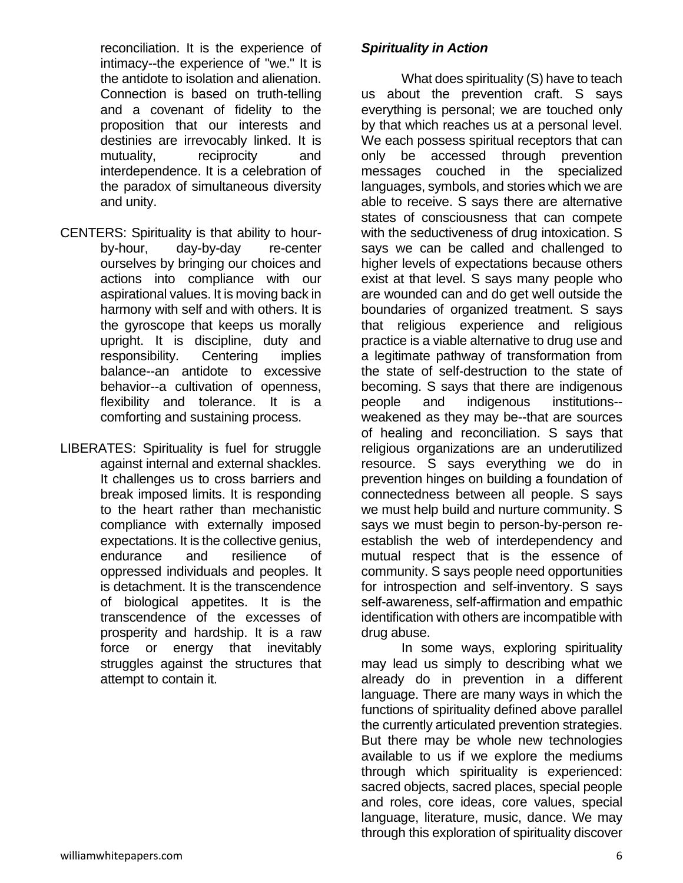reconciliation. It is the experience of intimacy--the experience of "we." It is the antidote to isolation and alienation. Connection is based on truth-telling and a covenant of fidelity to the proposition that our interests and destinies are irrevocably linked. It is mutuality, reciprocity and interdependence. It is a celebration of the paradox of simultaneous diversity and unity.

- CENTERS: Spirituality is that ability to hourby-hour, day-by-day re-center ourselves by bringing our choices and actions into compliance with our aspirational values. It is moving back in harmony with self and with others. It is the gyroscope that keeps us morally upright. It is discipline, duty and responsibility. Centering implies balance--an antidote to excessive behavior--a cultivation of openness, flexibility and tolerance. It is a comforting and sustaining process.
- LIBERATES: Spirituality is fuel for struggle against internal and external shackles. It challenges us to cross barriers and break imposed limits. It is responding to the heart rather than mechanistic compliance with externally imposed expectations. It is the collective genius, endurance and resilience of oppressed individuals and peoples. It is detachment. It is the transcendence of biological appetites. It is the transcendence of the excesses of prosperity and hardship. It is a raw force or energy that inevitably struggles against the structures that attempt to contain it.

# *Spirituality in Action*

What does spirituality (S) have to teach us about the prevention craft. S says everything is personal; we are touched only by that which reaches us at a personal level. We each possess spiritual receptors that can only be accessed through prevention messages couched in the specialized languages, symbols, and stories which we are able to receive. S says there are alternative states of consciousness that can compete with the seductiveness of drug intoxication. S says we can be called and challenged to higher levels of expectations because others exist at that level. S says many people who are wounded can and do get well outside the boundaries of organized treatment. S says that religious experience and religious practice is a viable alternative to drug use and a legitimate pathway of transformation from the state of self-destruction to the state of becoming. S says that there are indigenous people and indigenous institutions- weakened as they may be--that are sources of healing and reconciliation. S says that religious organizations are an underutilized resource. S says everything we do in prevention hinges on building a foundation of connectedness between all people. S says we must help build and nurture community. S says we must begin to person-by-person reestablish the web of interdependency and mutual respect that is the essence of community. S says people need opportunities for introspection and self-inventory. S says self-awareness, self-affirmation and empathic identification with others are incompatible with drug abuse.

In some ways, exploring spirituality may lead us simply to describing what we already do in prevention in a different language. There are many ways in which the functions of spirituality defined above parallel the currently articulated prevention strategies. But there may be whole new technologies available to us if we explore the mediums through which spirituality is experienced: sacred objects, sacred places, special people and roles, core ideas, core values, special language, literature, music, dance. We may through this exploration of spirituality discover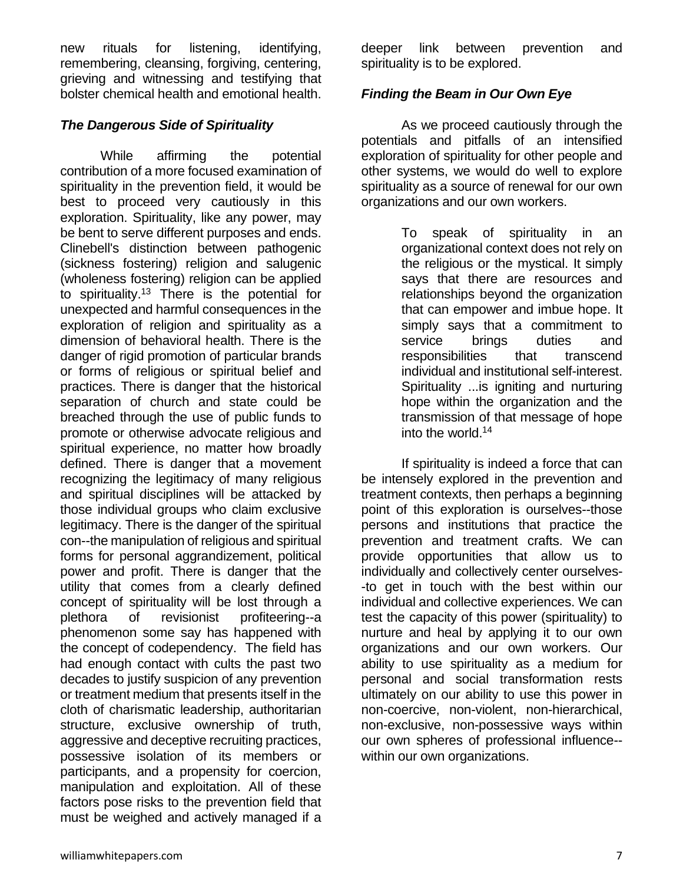new rituals for listening, identifying, remembering, cleansing, forgiving, centering, grieving and witnessing and testifying that bolster chemical health and emotional health.

#### *The Dangerous Side of Spirituality*

While affirming the potential contribution of a more focused examination of spirituality in the prevention field, it would be best to proceed very cautiously in this exploration. Spirituality, like any power, may be bent to serve different purposes and ends. Clinebell's distinction between pathogenic (sickness fostering) religion and salugenic (wholeness fostering) religion can be applied to spirituality.<sup>13</sup> There is the potential for unexpected and harmful consequences in the exploration of religion and spirituality as a dimension of behavioral health. There is the danger of rigid promotion of particular brands or forms of religious or spiritual belief and practices. There is danger that the historical separation of church and state could be breached through the use of public funds to promote or otherwise advocate religious and spiritual experience, no matter how broadly defined. There is danger that a movement recognizing the legitimacy of many religious and spiritual disciplines will be attacked by those individual groups who claim exclusive legitimacy. There is the danger of the spiritual con--the manipulation of religious and spiritual forms for personal aggrandizement, political power and profit. There is danger that the utility that comes from a clearly defined concept of spirituality will be lost through a plethora of revisionist profiteering--a phenomenon some say has happened with the concept of codependency. The field has had enough contact with cults the past two decades to justify suspicion of any prevention or treatment medium that presents itself in the cloth of charismatic leadership, authoritarian structure, exclusive ownership of truth, aggressive and deceptive recruiting practices, possessive isolation of its members or participants, and a propensity for coercion, manipulation and exploitation. All of these factors pose risks to the prevention field that must be weighed and actively managed if a

deeper link between prevention and spirituality is to be explored.

## *Finding the Beam in Our Own Eye*

As we proceed cautiously through the potentials and pitfalls of an intensified exploration of spirituality for other people and other systems, we would do well to explore spirituality as a source of renewal for our own organizations and our own workers.

> To speak of spirituality in an organizational context does not rely on the religious or the mystical. It simply says that there are resources and relationships beyond the organization that can empower and imbue hope. It simply says that a commitment to service brings duties and responsibilities that transcend individual and institutional self-interest. Spirituality ...is igniting and nurturing hope within the organization and the transmission of that message of hope into the world.<sup>14</sup>

If spirituality is indeed a force that can be intensely explored in the prevention and treatment contexts, then perhaps a beginning point of this exploration is ourselves--those persons and institutions that practice the prevention and treatment crafts. We can provide opportunities that allow us to individually and collectively center ourselves- -to get in touch with the best within our individual and collective experiences. We can test the capacity of this power (spirituality) to nurture and heal by applying it to our own organizations and our own workers. Our ability to use spirituality as a medium for personal and social transformation rests ultimately on our ability to use this power in non-coercive, non-violent, non-hierarchical, non-exclusive, non-possessive ways within our own spheres of professional influence- within our own organizations.